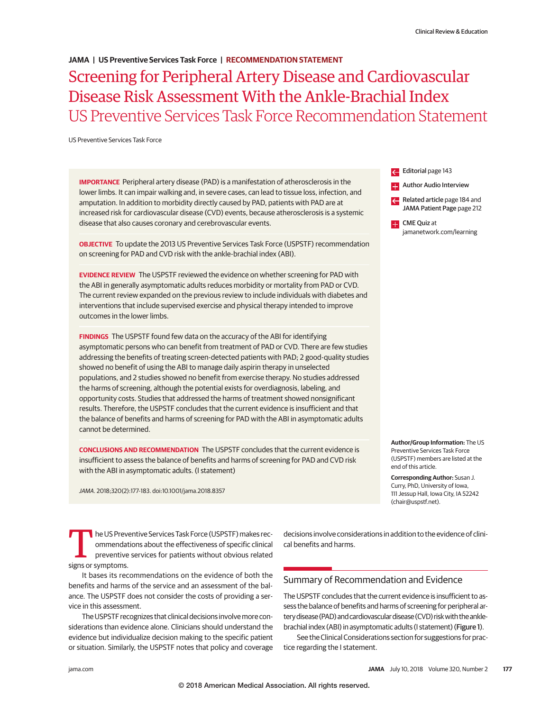# Screening for Peripheral Artery Disease and Cardiovascular Disease Risk Assessment With the Ankle-Brachial Index US Preventive Services Task Force Recommendation Statement **JAMA | US Preventive Services Task Force | RECOMMENDATION STATEMENT**

US Preventive Services Task Force

**IMPORTANCE** Peripheral artery disease (PAD) is a manifestation of atherosclerosis in the lower limbs. It can impair walking and, in severe cases, can lead to tissue loss, infection, and amputation. In addition to morbidity directly caused by PAD, patients with PAD are at increased risk for cardiovascular disease (CVD) events, because atherosclerosis is a systemic disease that also causes coronary and cerebrovascular events.

**OBJECTIVE** To update the 2013 US Preventive Services Task Force (USPSTF) recommendation on screening for PAD and CVD risk with the ankle-brachial index (ABI).

**EVIDENCE REVIEW** The USPSTF reviewed the evidence on whether screening for PAD with the ABI in generally asymptomatic adults reduces morbidity or mortality from PAD or CVD. The current review expanded on the previous review to include individuals with diabetes and interventions that include supervised exercise and physical therapy intended to improve outcomes in the lower limbs.

**FINDINGS** The USPSTF found few data on the accuracy of the ABI for identifying asymptomatic persons who can benefit from treatment of PAD or CVD. There are few studies addressing the benefits of treating screen-detected patients with PAD; 2 good-quality studies showed no benefit of using the ABI to manage daily aspirin therapy in unselected populations, and 2 studies showed no benefit from exercise therapy. No studies addressed the harms of screening, although the potential exists for overdiagnosis, labeling, and opportunity costs. Studies that addressed the harms of treatment showed nonsignificant results. Therefore, the USPSTF concludes that the current evidence is insufficient and that the balance of benefits and harms of screening for PAD with the ABI in asymptomatic adults cannot be determined.

**CONCLUSIONS AND RECOMMENDATION** The USPSTF concludes that the current evidence is insufficient to assess the balance of benefits and harms of screening for PAD and CVD risk with the ABI in asymptomatic adults. (I statement)

JAMA. 2018;320(2):177-183. doi:10.1001/jama.2018.8357

decisions involve considerations in addition to the evidence of clinical benefits and harms.

# The US Preventive Services Task Force (USPSTF) makes recommendations about the effectiveness of specific clinical preventive services for patients without obvious related signs or symptoms.

It bases its recommendations on the evidence of both the benefits and harms of the service and an assessment of the balance. The USPSTF does not consider the costs of providing a service in this assessment.

The USPSTF recognizes that clinical decisions involve more considerations than evidence alone. Clinicians should understand the evidence but individualize decision making to the specific patient or situation. Similarly, the USPSTF notes that policy and coverage Summary of Recommendation and Evidence

The USPSTF concludes that the current evidence is insufficient to assess the balance of benefits and harms of screening for peripheral artery disease (PAD) and cardiovascular disease (CVD) risk with the anklebrachial index (ABI) in asymptomatic adults (I statement) (Figure 1).

See the Clinical Considerations section for suggestions for practice regarding the I statement.

Editorial page 143 **B** Author Audio Interview





**Author/Group Information:** The US Preventive Services Task Force (USPSTF) members are listed at the end of this article.

**Corresponding Author:** Susan J. Curry, PhD, University of Iowa, 111 Jessup Hall, Iowa City, IA 52242 (chair@uspstf.net).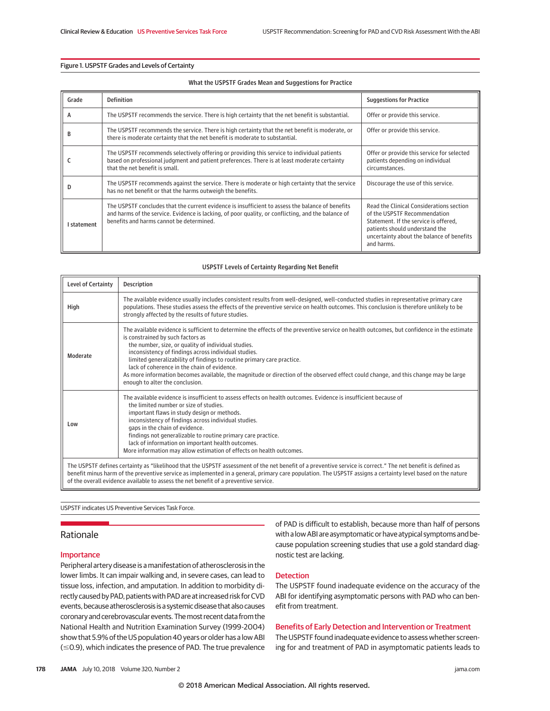# Figure 1. USPSTF Grades and Levels of Certainty

#### What the USPSTF Grades Mean and Suggestions for Practice

| Grade     | <b>Definition</b>                                                                                                                                                                                                                                  | <b>Suggestions for Practice</b>                                                                                                                                                                                |
|-----------|----------------------------------------------------------------------------------------------------------------------------------------------------------------------------------------------------------------------------------------------------|----------------------------------------------------------------------------------------------------------------------------------------------------------------------------------------------------------------|
| A         | The USPSTF recommends the service. There is high certainty that the net benefit is substantial.                                                                                                                                                    | Offer or provide this service.                                                                                                                                                                                 |
| в         | The USPSTF recommends the service. There is high certainty that the net benefit is moderate, or<br>there is moderate certainty that the net benefit is moderate to substantial.                                                                    | Offer or provide this service.                                                                                                                                                                                 |
|           | The USPSTF recommends selectively offering or providing this service to individual patients<br>based on professional judgment and patient preferences. There is at least moderate certainty<br>that the net benefit is small.                      | Offer or provide this service for selected<br>patients depending on individual<br>circumstances.                                                                                                               |
|           | The USPSTF recommends against the service. There is moderate or high certainty that the service<br>has no net benefit or that the harms outweigh the benefits.                                                                                     | Discourage the use of this service.                                                                                                                                                                            |
| statement | The USPSTF concludes that the current evidence is insufficient to assess the balance of benefits<br>and harms of the service. Evidence is lacking, of poor quality, or conflicting, and the balance of<br>benefits and harms cannot be determined. | Read the Clinical Considerations section<br>of the USPSTF Recommendation<br>Statement. If the service is offered,<br>patients should understand the<br>uncertainty about the balance of benefits<br>and harms. |

## USPSTF Levels of Certainty Regarding Net Benefit

| <b>Level of Certainty</b>                                                                                                                                                                                                                                                                                                                                                                                           | <b>Description</b>                                                                                                                                                                                                                                                                                                                                                                                                                                                                                                                                                                               |  |
|---------------------------------------------------------------------------------------------------------------------------------------------------------------------------------------------------------------------------------------------------------------------------------------------------------------------------------------------------------------------------------------------------------------------|--------------------------------------------------------------------------------------------------------------------------------------------------------------------------------------------------------------------------------------------------------------------------------------------------------------------------------------------------------------------------------------------------------------------------------------------------------------------------------------------------------------------------------------------------------------------------------------------------|--|
| High                                                                                                                                                                                                                                                                                                                                                                                                                | The available evidence usually includes consistent results from well-designed, well-conducted studies in representative primary care<br>populations. These studies assess the effects of the preventive service on health outcomes. This conclusion is therefore unlikely to be<br>strongly affected by the results of future studies.                                                                                                                                                                                                                                                           |  |
| Moderate                                                                                                                                                                                                                                                                                                                                                                                                            | The available evidence is sufficient to determine the effects of the preventive service on health outcomes, but confidence in the estimate<br>is constrained by such factors as<br>the number, size, or quality of individual studies.<br>inconsistency of findings across individual studies.<br>limited generalizability of findings to routine primary care practice.<br>lack of coherence in the chain of evidence<br>As more information becomes available, the magnitude or direction of the observed effect could change, and this change may be large<br>enough to alter the conclusion. |  |
| Low                                                                                                                                                                                                                                                                                                                                                                                                                 | The available evidence is insufficient to assess effects on health outcomes. Evidence is insufficient because of<br>the limited number or size of studies.<br>important flaws in study design or methods.<br>inconsistency of findings across individual studies.<br>gaps in the chain of evidence.<br>findings not generalizable to routine primary care practice.<br>lack of information on important health outcomes.<br>More information may allow estimation of effects on health outcomes.                                                                                                 |  |
| The USPSTF defines certainty as "likelihood that the USPSTF assessment of the net benefit of a preventive service is correct." The net benefit is defined as<br>benefit minus harm of the preventive service as implemented in a general, primary care population. The USPSTF assigns a certainty level based on the nature<br>of the overall evidence available to assess the net benefit of a preventive service. |                                                                                                                                                                                                                                                                                                                                                                                                                                                                                                                                                                                                  |  |

USPSTF indicates US Preventive Services Task Force.

# Rationale

#### Importance

Peripheral artery disease is a manifestation of atherosclerosis in the lower limbs. It can impair walking and, in severe cases, can lead to tissue loss, infection, and amputation. In addition to morbidity directly caused by PAD, patients with PAD are at increased risk for CVD events, because atherosclerosis is a systemic disease that also causes coronary and cerebrovascular events. The most recent data from the National Health and Nutrition Examination Survey (1999-2004) show that 5.9% of the US population 40 years or older has a low ABI  $(\leq$  0.9), which indicates the presence of PAD. The true prevalence

of PAD is difficult to establish, because more than half of persons with a low ABI are asymptomatic or have atypical symptoms and because population screening studies that use a gold standard diagnostic test are lacking.

### **Detection**

The USPSTF found inadequate evidence on the accuracy of the ABI for identifying asymptomatic persons with PAD who can benefit from treatment.

## Benefits of Early Detection and Intervention or Treatment

The USPSTF found inadequate evidence to assess whether screening for and treatment of PAD in asymptomatic patients leads to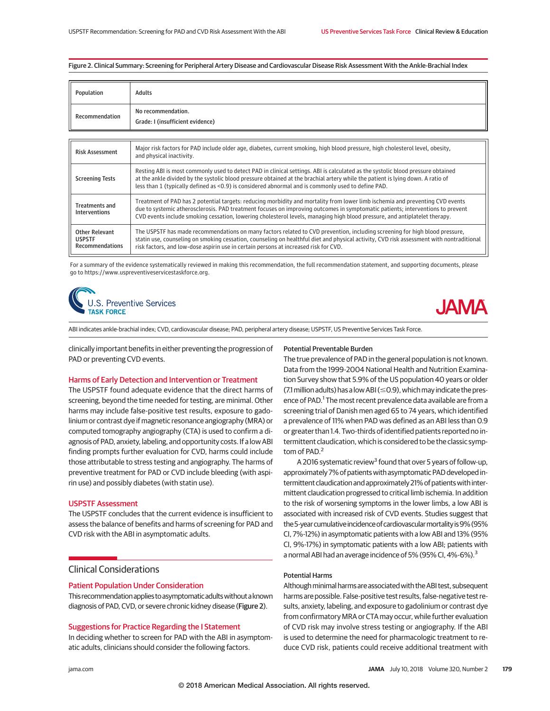### Figure 2. Clinical Summary: Screening for Peripheral Artery Disease and Cardiovascular Disease Risk Assessment With the Ankle-Brachial Index

| Population     | Adults                                                 |
|----------------|--------------------------------------------------------|
| Recommendation | No recommendation.<br>Grade: I (insufficient evidence) |

| <b>Risk Assessment</b>                                    | Major risk factors for PAD include older age, diabetes, current smoking, high blood pressure, high cholesterol level, obesity,<br>and physical inactivity.                                                                                                                                                                                                                                    |
|-----------------------------------------------------------|-----------------------------------------------------------------------------------------------------------------------------------------------------------------------------------------------------------------------------------------------------------------------------------------------------------------------------------------------------------------------------------------------|
| <b>Screening Tests</b>                                    | Resting ABI is most commonly used to detect PAD in clinical settings. ABI is calculated as the systolic blood pressure obtained<br>at the ankle divided by the systolic blood pressure obtained at the brachial artery while the patient is lying down. A ratio of<br>less than 1 (typically defined as <0.9) is considered abnormal and is commonly used to define PAD.                      |
| <b>Treatments and</b><br><b>Interventions</b>             | Treatment of PAD has 2 potential targets: reducing morbidity and mortality from lower limb ischemia and preventing CVD events<br>due to systemic atherosclerosis. PAD treatment focuses on improving outcomes in symptomatic patients; interventions to prevent<br>CVD events include smoking cessation, lowering cholesterol levels, managing high blood pressure, and antiplatelet therapy. |
| <b>Other Relevant</b><br><b>USPSTF</b><br>Recommendations | The USPSTF has made recommendations on many factors related to CVD prevention, including screening for high blood pressure,<br>statin use, counseling on smoking cessation, counseling on healthful diet and physical activity, CVD risk assessment with nontraditional<br>risk factors, and low-dose aspirin use in certain persons at increased risk for CVD.                               |

For a summary of the evidence systematically reviewed in making this recommendation, the full recommendation statement, and supporting documents, please go to https://www.uspreventiveservicestaskforce.org.



ABI indicates ankle-brachial index; CVD, cardiovascular disease; PAD, peripheral artery disease; USPSTF, US Preventive Services Task Force.

clinically important benefits in either preventing the progression of PAD or preventing CVD events.

## Harms of Early Detection and Intervention or Treatment

The USPSTF found adequate evidence that the direct harms of screening, beyond the time needed for testing, are minimal. Other harms may include false-positive test results, exposure to gadolinium or contrast dye if magnetic resonance angiography (MRA) or computed tomography angiography (CTA) is used to confirm a diagnosis of PAD, anxiety, labeling, and opportunity costs. If a low ABI finding prompts further evaluation for CVD, harms could include those attributable to stress testing and angiography. The harms of preventive treatment for PAD or CVD include bleeding (with aspirin use) and possibly diabetes (with statin use).

#### USPSTF Assessment

The USPSTF concludes that the current evidence is insufficient to assess the balance of benefits and harms of screening for PAD and CVD risk with the ABI in asymptomatic adults.

# Clinical Considerations

#### Patient Population Under Consideration

This recommendationapplies toasymptomaticadultswithoutaknown diagnosis of PAD, CVD, or severe chronic kidney disease (Figure 2).

#### Suggestions for Practice Regarding the I Statement

In deciding whether to screen for PAD with the ABI in asymptomatic adults, clinicians should consider the following factors.

Potential Preventable Burden

The true prevalence of PAD in the general population is not known. Data from the 1999-2004 National Health and Nutrition Examination Survey show that 5.9% of the US population 40 years or older  $(7.1$  million adults) has a low ABI ( $\leq$  0.9), which may indicate the presence of PAD.<sup>1</sup> The most recent prevalence data available are from a screening trial of Danish men aged 65 to 74 years, which identified a prevalence of 11% when PAD was defined as an ABI less than 0.9 or greater than 1.4. Two-thirds of identified patients reported no intermittent claudication, which is considered to be the classic symptom of PAD.<sup>2</sup>

A 2016 systematic review<sup>3</sup> found that over 5 years of follow-up, approximately 7% of patients with asymptomatic PAD developed intermittent claudication and approximately 21% of patientswith intermittent claudication progressed to critical limb ischemia. In addition to the risk of worsening symptoms in the lower limbs, a low ABI is associated with increased risk of CVD events. Studies suggest that the 5-year cumulative incidence of cardiovascular mortality is 9% (95% CI, 7%-12%) in asymptomatic patients with a low ABI and 13% (95% CI, 9%-17%) in symptomatic patients with a low ABI; patients with a normal ABI had an average incidence of 5% (95% CI, 4%-6%).<sup>3</sup>

### Potential Harms

Although minimal harms are associated with the ABI test, subsequent harms are possible. False-positive test results, false-negative test results, anxiety, labeling, and exposure to gadolinium or contrast dye from confirmatory MRA or CTA may occur, while further evaluation of CVD risk may involve stress testing or angiography. If the ABI is used to determine the need for pharmacologic treatment to reduce CVD risk, patients could receive additional treatment with

. ΙΔΜΑ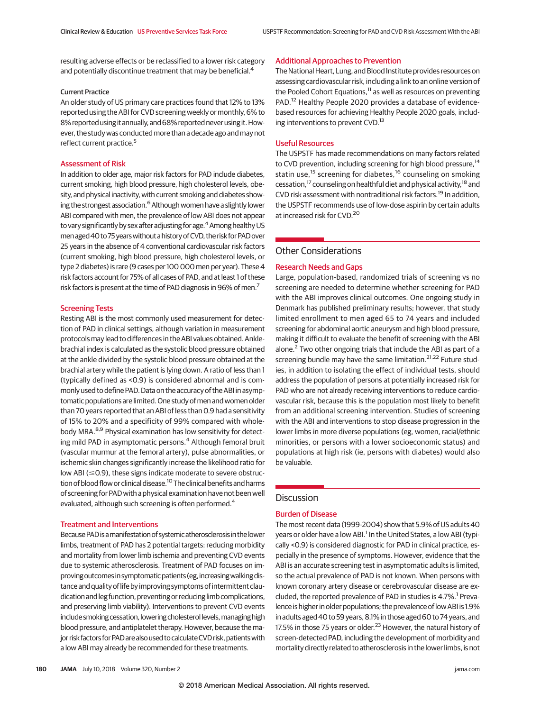resulting adverse effects or be reclassified to a lower risk category and potentially discontinue treatment that may be beneficial.<sup>4</sup>

## Current Practice

An older study of US primary care practices found that 12% to 13% reported using the ABI for CVD screening weekly or monthly, 6% to 8% reported using it annually, and 68% reported never using it. However, the study was conducted more than a decade ago and may not reflect current practice.<sup>5</sup>

# Assessment of Risk

In addition to older age, major risk factors for PAD include diabetes, current smoking, high blood pressure, high cholesterol levels, obesity, and physical inactivity, with current smoking and diabetes showing the strongest association.<sup>6</sup> Although women have a slightly lower ABI compared with men, the prevalence of low ABI does not appear to vary significantly by sex after adjusting for age.<sup>4</sup> Among healthy US men aged 40 to 75 years without a history of CVD, the risk for PAD over 25 years in the absence of 4 conventional cardiovascular risk factors (current smoking, high blood pressure, high cholesterol levels, or type 2 diabetes) is rare (9 cases per 100 000 men per year). These 4 risk factors account for 75% of all cases of PAD, and at least 1 of these risk factors is present at the time of PAD diagnosis in 96% of men.<sup>7</sup>

#### Screening Tests

Resting ABI is the most commonly used measurement for detection of PAD in clinical settings, although variation in measurement protocols may lead to differences in the ABI values obtained. Anklebrachial index is calculated as the systolic blood pressure obtained at the ankle divided by the systolic blood pressure obtained at the brachial artery while the patient is lying down. A ratio of less than 1 (typically defined as <0.9) is considered abnormal and is commonly used to define PAD. Data on the accuracy of the ABI in asymptomatic populations are limited. One study of men and women older than 70 years reported that an ABI of less than 0.9 had a sensitivity of 15% to 20% and a specificity of 99% compared with wholebody MRA.<sup>8,9</sup> Physical examination has low sensitivity for detecting mild PAD in asymptomatic persons.<sup>4</sup> Although femoral bruit (vascular murmur at the femoral artery), pulse abnormalities, or ischemic skin changes significantly increase the likelihood ratio for low ABI (≤0.9), these signs indicate moderate to severe obstruction of blood flow or clinical disease.<sup>10</sup> The clinical benefits and harms of screening for PAD with a physical examination have not been well evaluated, although such screening is often performed.<sup>4</sup>

## Treatment and Interventions

Because PAD is a manifestation of systemic atherosclerosis in the lower limbs, treatment of PAD has 2 potential targets: reducing morbidity and mortality from lower limb ischemia and preventing CVD events due to systemic atherosclerosis. Treatment of PAD focuses on improving outcomes in symptomatic patients (eg, increasing walking distance and quality of life by improving symptoms of intermittent claudication and leg function, preventing or reducing limb complications, and preserving limb viability). Interventions to prevent CVD events include smoking cessation, lowering cholesterol levels, managing high blood pressure, and antiplatelet therapy. However, because the major risk factors for PAD are also used to calculate CVD risk, patients with a low ABI may already be recommended for these treatments.

#### Additional Approaches to Prevention

The National Heart, Lung, and Blood Institute provides resources on assessing cardiovascular risk, including a link to an online version of the Pooled Cohort Equations, $11$  as well as resources on preventing PAD.<sup>12</sup> Healthy People 2020 provides a database of evidencebased resources for achieving Healthy People 2020 goals, including interventions to prevent CVD.<sup>13</sup>

#### Useful Resources

The USPSTF has made recommendations on many factors related to CVD prevention, including screening for high blood pressure,<sup>14</sup> statin use,<sup>15</sup> screening for diabetes,<sup>16</sup> counseling on smoking cessation,<sup>17</sup> counseling on healthful diet and physical activity,<sup>18</sup> and CVD risk assessment with nontraditional risk factors.<sup>19</sup> In addition, the USPSTF recommends use of low-dose aspirin by certain adults at increased risk for CVD.<sup>20</sup>

# Other Considerations

#### Research Needs and Gaps

Large, population-based, randomized trials of screening vs no screening are needed to determine whether screening for PAD with the ABI improves clinical outcomes. One ongoing study in Denmark has published preliminary results; however, that study limited enrollment to men aged 65 to 74 years and included screening for abdominal aortic aneurysm and high blood pressure, making it difficult to evaluate the benefit of screening with the ABI alone.<sup>2</sup> Two other ongoing trials that include the ABI as part of a screening bundle may have the same limitation.<sup>21,22</sup> Future studies, in addition to isolating the effect of individual tests, should address the population of persons at potentially increased risk for PAD who are not already receiving interventions to reduce cardiovascular risk, because this is the population most likely to benefit from an additional screening intervention. Studies of screening with the ABI and interventions to stop disease progression in the lower limbs in more diverse populations (eg, women, racial/ethnic minorities, or persons with a lower socioeconomic status) and populations at high risk (ie, persons with diabetes) would also be valuable.

# Discussion

# Burden of Disease

The most recent data (1999-2004) show that 5.9% of US adults 40 years or older have a low ABI.<sup>1</sup> In the United States, a low ABI (typically <0.9) is considered diagnostic for PAD in clinical practice, especially in the presence of symptoms. However, evidence that the ABI is an accurate screening test in asymptomatic adults is limited, so the actual prevalence of PAD is not known. When persons with known coronary artery disease or cerebrovascular disease are excluded, the reported prevalence of PAD in studies is 4.7%.<sup>1</sup> Prevalence is higher in older populations; the prevalence of low ABI is 1.9% in adults aged 40 to 59 years, 8.1% in those aged 60 to 74 years, and 17.5% in those 75 years or older.<sup>23</sup> However, the natural history of screen-detected PAD, including the development of morbidity and mortality directly related to atherosclerosis in the lower limbs, is not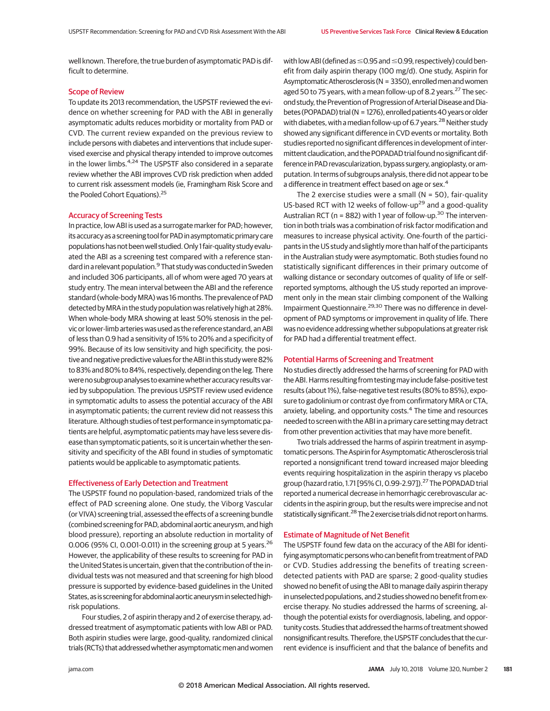well known. Therefore, the true burden of asymptomatic PAD is difficult to determine.

#### Scope of Review

To update its 2013 recommendation, the USPSTF reviewed the evidence on whether screening for PAD with the ABI in generally asymptomatic adults reduces morbidity or mortality from PAD or CVD. The current review expanded on the previous review to include persons with diabetes and interventions that include supervised exercise and physical therapy intended to improve outcomes in the lower limbs.<sup>4,24</sup> The USPSTF also considered in a separate review whether the ABI improves CVD risk prediction when added to current risk assessment models (ie, Framingham Risk Score and the Pooled Cohort Equations).<sup>25</sup>

#### Accuracy of Screening Tests

In practice, low ABI is used as a surrogate marker for PAD; however, its accuracy as a screening tool for PAD in asymptomatic primary care populations has not been well studied. Only 1 fair-quality study evaluated the ABI as a screening test compared with a reference standard in a relevant population.<sup>9</sup> That study was conducted in Sweden and included 306 participants, all of whom were aged 70 years at study entry. The mean interval between the ABI and the reference standard (whole-body MRA) was 16 months. The prevalence of PAD detected byMRA in the study population was relatively high at 28%. When whole-body MRA showing at least 50% stenosis in the pelvic or lower-limb arteries was used as the reference standard, an ABI of less than 0.9 had a sensitivity of 15% to 20% and a specificity of 99%. Because of its low sensitivity and high specificity, the positive and negative predictive values for the ABI in this study were 82% to 83% and 80% to 84%, respectively, depending on the leg. There were no subgroup analyses to examine whether accuracy results varied by subpopulation. The previous USPSTF review used evidence in symptomatic adults to assess the potential accuracy of the ABI in asymptomatic patients; the current review did not reassess this literature. Although studies of test performance in symptomatic patients are helpful, asymptomatic patients may have less severe disease than symptomatic patients, so it is uncertain whether the sensitivity and specificity of the ABI found in studies of symptomatic patients would be applicable to asymptomatic patients.

## Effectiveness of Early Detection and Treatment

The USPSTF found no population-based, randomized trials of the effect of PAD screening alone. One study, the Viborg Vascular (or VIVA) screening trial, assessed the effects of a screening bundle (combined screening for PAD, abdominal aortic aneurysm, and high blood pressure), reporting an absolute reduction in mortality of 0.006 (95% CJ, 0.001-0.011) in the screening group at 5 years.<sup>26</sup> However, the applicability of these results to screening for PAD in the United States is uncertain, given that the contribution of the individual tests was not measured and that screening for high blood pressure is supported by evidence-based guidelines in the United States, as is screening for abdominal aortic aneurysm in selected highrisk populations.

Four studies, 2 of aspirin therapy and 2 of exercise therapy, addressed treatment of asymptomatic patients with low ABI or PAD. Both aspirin studies were large, good-quality, randomized clinical trials (RCTs) that addressed whether asymptomatic men and women

with low ABI (defined as  $\leq$  0.95 and  $\leq$  0.99, respectively) could benefit from daily aspirin therapy (100 mg/d). One study, Aspirin for Asymptomatic Atherosclerosis ( $N = 3350$ ), enrolled men and women aged 50 to 75 years, with a mean follow-up of 8.2 years.<sup>27</sup> The second study, the Prevention of Progression of Arterial Disease and Diabetes (POPADAD) trial (N = 1276), enrolled patients 40 years or older with diabetes, with a median follow-up of 6.7 years.<sup>28</sup> Neither study showed any significant difference in CVD events or mortality. Both studies reported no significant differences in development of intermittent claudication, and the POPADAD trial found no significant difference in PAD revascularization, bypass surgery, angioplasty, or amputation. In terms of subgroups analysis, there did not appear to be a difference in treatment effect based on age or sex.<sup>4</sup>

The 2 exercise studies were a small ( $N = 50$ ), fair-quality US-based RCT with 12 weeks of follow-up<sup>29</sup> and a good-quality Australian RCT ( $n = 882$ ) with 1 year of follow-up.<sup>30</sup> The intervention in both trials was a combination of risk factor modification and measures to increase physical activity. One-fourth of the participants in the US study and slightly more than half of the participants in the Australian study were asymptomatic. Both studies found no statistically significant differences in their primary outcome of walking distance or secondary outcomes of quality of life or selfreported symptoms, although the US study reported an improvement only in the mean stair climbing component of the Walking Impairment Questionnaire.<sup>29,30</sup> There was no difference in development of PAD symptoms or improvement in quality of life. There was no evidence addressing whether subpopulations at greater risk for PAD had a differential treatment effect.

#### Potential Harms of Screening and Treatment

No studies directly addressed the harms of screening for PAD with the ABI. Harms resulting from testing may include false-positive test results (about 1%), false-negative test results (80% to 85%), exposure to gadolinium or contrast dye from confirmatory MRA or CTA, anxiety, labeling, and opportunity costs. $4$  The time and resources needed to screen with the ABI in a primary care setting may detract from other prevention activities that may have more benefit.

Two trials addressed the harms of aspirin treatment in asymptomatic persons. The Aspirin for Asymptomatic Atherosclerosis trial reported a nonsignificant trend toward increased major bleeding events requiring hospitalization in the aspirin therapy vs placebo group (hazard ratio, 1.71 [95% CI, 0.99-2.97]).<sup>27</sup> The POPADAD trial reported a numerical decrease in hemorrhagic cerebrovascular accidents in the aspirin group, but the results were imprecise and not statistically significant.<sup>28</sup> The 2 exercise trials did not report on harms.

#### Estimate of Magnitude of Net Benefit

The USPSTF found few data on the accuracy of the ABI for identifying asymptomatic persons who can benefit from treatment of PAD or CVD. Studies addressing the benefits of treating screendetected patients with PAD are sparse; 2 good-quality studies showed no benefit of using the ABI to manage daily aspirin therapy in unselected populations, and 2 studies showed no benefit from exercise therapy. No studies addressed the harms of screening, although the potential exists for overdiagnosis, labeling, and opportunity costs. Studies that addressed the harms of treatment showed nonsignificant results. Therefore, theUSPSTF concludes that the current evidence is insufficient and that the balance of benefits and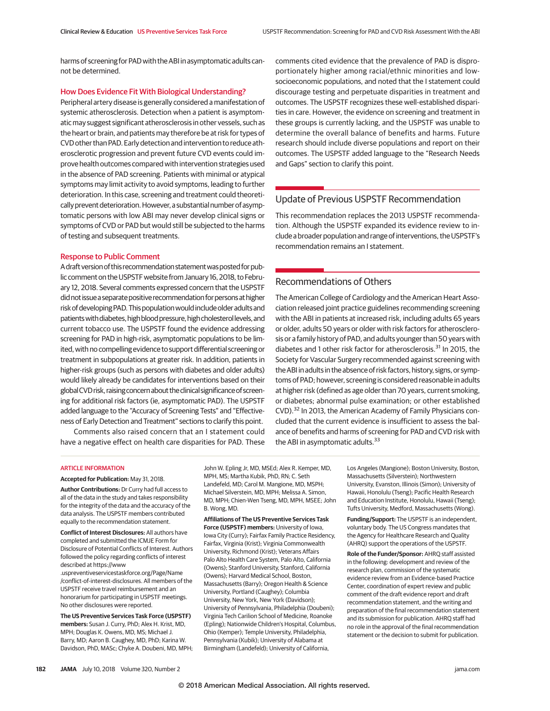harms of screening for PAD with the ABI in asymptomatic adults cannot be determined.

#### How Does Evidence Fit With Biological Understanding?

Peripheral artery disease is generally considered a manifestation of systemic atherosclerosis. Detection when a patient is asymptomatic may suggest significant atherosclerosis in other vessels, such as the heart or brain, and patients may therefore be at risk for types of CVD other than PAD. Early detection and intervention to reduce atherosclerotic progression and prevent future CVD events could improve health outcomes compared with intervention strategies used in the absence of PAD screening. Patients with minimal or atypical symptoms may limit activity to avoid symptoms, leading to further deterioration. In this case, screening and treatment could theoretically prevent deterioration. However, a substantial number of asymptomatic persons with low ABI may never develop clinical signs or symptoms of CVD or PAD but would still be subjected to the harms of testing and subsequent treatments.

## Response to Public Comment

A draft version of this recommendation statement was posted for public comment on the USPSTF website from January 16, 2018, to February 12, 2018. Several comments expressed concern that the USPSTF did not issue a separate positive recommendation for persons at higher risk of developing PAD. This population would include older adults and patients with diabetes, high blood pressure, high cholesterol levels, and current tobacco use. The USPSTF found the evidence addressing screening for PAD in high-risk, asymptomatic populations to be limited, with no compelling evidence to support differential screening or treatment in subpopulations at greater risk. In addition, patients in higher-risk groups (such as persons with diabetes and older adults) would likely already be candidates for interventions based on their global CVD risk, raising concern about the clinical significance of screening for additional risk factors (ie, asymptomatic PAD). The USPSTF added language to the "Accuracy of Screening Tests" and "Effectiveness of Early Detection and Treatment" sections to clarify this point.

Comments also raised concern that an I statement could have a negative effect on health care disparities for PAD. These comments cited evidence that the prevalence of PAD is disproportionately higher among racial/ethnic minorities and lowsocioeconomic populations, and noted that the I statement could discourage testing and perpetuate disparities in treatment and outcomes. The USPSTF recognizes these well-established disparities in care. However, the evidence on screening and treatment in these groups is currently lacking, and the USPSTF was unable to determine the overall balance of benefits and harms. Future research should include diverse populations and report on their outcomes. The USPSTF added language to the "Research Needs and Gaps" section to clarify this point.

# Update of Previous USPSTF Recommendation

This recommendation replaces the 2013 USPSTF recommendation. Although the USPSTF expanded its evidence review to include a broader population and range of interventions, the USPSTF's recommendation remains an I statement.

# Recommendations of Others

The American College of Cardiology and the American Heart Association released joint practice guidelines recommending screening with the ABI in patients at increased risk, including adults 65 years or older, adults 50 years or older with risk factors for atherosclerosis or a family history of PAD, and adults younger than 50 years with diabetes and 1 other risk factor for atherosclerosis.<sup>31</sup> In 2015, the Society for Vascular Surgery recommended against screening with the ABI in adults in the absence of risk factors, history, signs, or symptoms of PAD; however, screening is considered reasonable in adults at higher risk (defined as age older than 70 years, current smoking, or diabetes; abnormal pulse examination; or other established CVD).<sup>32</sup> In 2013, the American Academy of Family Physicians concluded that the current evidence is insufficient to assess the balance of benefits and harms of screening for PAD and CVD risk with the ABI in asymptomatic adults. $33$ 

#### ARTICLE INFORMATION

**Accepted for Publication:** May 31, 2018.

**Author Contributions:** Dr Curry had full access to all of the data in the study and takes responsibility for the integrity of the data and the accuracy of the data analysis. The USPSTF members contributed equally to the recommendation statement.

**Conflict of Interest Disclosures:** All authors have completed and submitted the ICMJE Form for Disclosure of Potential Conflicts of Interest. Authors followed the policy regarding conflicts of interest described at https://www

.uspreventiveservicestaskforce.org/Page/Name /conflict-of-interest-disclosures. All members of the USPSTF receive travel reimbursement and an honorarium for participating in USPSTF meetings. No other disclosures were reported.

**The US Preventive Services Task Force (USPSTF) members:** Susan J. Curry, PhD; Alex H. Krist, MD, MPH; Douglas K. Owens, MD, MS; Michael J. Barry, MD; Aaron B. Caughey, MD, PhD; Karina W. Davidson, PhD, MASc; Chyke A. Doubeni, MD, MPH; John W. Epling Jr, MD, MSEd; Alex R. Kemper, MD, MPH, MS; Martha Kubik, PhD, RN; C. Seth Landefeld, MD; Carol M. Mangione, MD, MSPH; Michael Silverstein, MD, MPH; Melissa A. Simon, MD, MPH; Chien-Wen Tseng, MD, MPH, MSEE; John B. Wong, MD.

**Affiliations of The US Preventive Services Task Force (USPSTF) members:** University of Iowa, Iowa City (Curry); Fairfax Family Practice Residency, Fairfax, Virginia (Krist); Virginia Commonwealth University, Richmond (Krist); Veterans Affairs Palo Alto Health Care System, Palo Alto, California (Owens); Stanford University, Stanford, California (Owens); Harvard Medical School, Boston, Massachusetts (Barry); Oregon Health & Science University, Portland (Caughey); Columbia University, New York, New York (Davidson); University of Pennsylvania, Philadelphia (Doubeni); Virginia Tech Carilion School of Medicine, Roanoke (Epling); Nationwide Children's Hospital, Columbus, Ohio (Kemper); Temple University, Philadelphia, Pennsylvania (Kubik); University of Alabama at Birmingham (Landefeld); University of California,

Los Angeles (Mangione); Boston University, Boston, Massachusetts (Silverstein); Northwestern University, Evanston, Illinois (Simon); University of Hawaii, Honolulu (Tseng); Pacific Health Research and Education Institute, Honolulu, Hawaii (Tseng); Tufts University, Medford, Massachusetts (Wong).

**Funding/Support:** The USPSTF is an independent, voluntary body. The US Congress mandates that the Agency for Healthcare Research and Quality (AHRQ) support the operations of the USPSTF.

**Role of the Funder/Sponsor:** AHRQ staff assisted in the following: development and review of the research plan, commission of the systematic evidence review from an Evidence-based Practice Center, coordination of expert review and public comment of the draft evidence report and draft recommendation statement, and the writing and preparation of the final recommendation statement and its submission for publication. AHRQ staff had no role in the approval of the final recommendation statement or the decision to submit for publication.